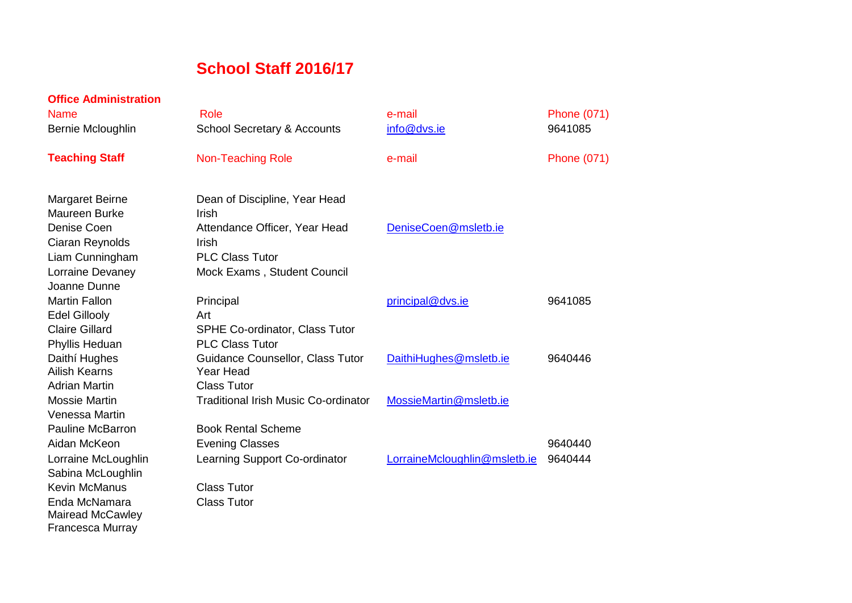## **School Staff 2016/17**

| <b>Office Administration</b> |                                             |                              |                    |
|------------------------------|---------------------------------------------|------------------------------|--------------------|
| <b>Name</b>                  | Role                                        | e-mail                       | <b>Phone (071)</b> |
| Bernie Mcloughlin            | <b>School Secretary &amp; Accounts</b>      | info@dvs.ie                  | 9641085            |
| <b>Teaching Staff</b>        | <b>Non-Teaching Role</b>                    | e-mail                       | <b>Phone (071)</b> |
| <b>Margaret Beirne</b>       | Dean of Discipline, Year Head               |                              |                    |
| <b>Maureen Burke</b>         | Irish                                       |                              |                    |
| Denise Coen                  | Attendance Officer, Year Head               | DeniseCoen@msletb.ie         |                    |
| Ciaran Reynolds              | <b>Irish</b>                                |                              |                    |
| Liam Cunningham              | <b>PLC Class Tutor</b>                      |                              |                    |
| Lorraine Devaney             | Mock Exams, Student Council                 |                              |                    |
| Joanne Dunne                 |                                             |                              |                    |
| <b>Martin Fallon</b>         | Principal                                   | principal@dvs.ie             | 9641085            |
| <b>Edel Gillooly</b>         | Art                                         |                              |                    |
| <b>Claire Gillard</b>        | SPHE Co-ordinator, Class Tutor              |                              |                    |
| Phyllis Heduan               | <b>PLC Class Tutor</b>                      |                              |                    |
| Daithí Hughes                | Guidance Counsellor, Class Tutor            | DaithiHughes@msletb.ie       | 9640446            |
| <b>Ailish Kearns</b>         | Year Head                                   |                              |                    |
| <b>Adrian Martin</b>         | <b>Class Tutor</b>                          |                              |                    |
| <b>Mossie Martin</b>         | <b>Traditional Irish Music Co-ordinator</b> | MossieMartin@msletb.ie       |                    |
| Venessa Martin               |                                             |                              |                    |
| <b>Pauline McBarron</b>      | <b>Book Rental Scheme</b>                   |                              |                    |
| Aidan McKeon                 | <b>Evening Classes</b>                      |                              | 9640440            |
| Lorraine McLoughlin          | Learning Support Co-ordinator               | LorraineMcloughlin@msletb.ie | 9640444            |
| Sabina McLoughlin            |                                             |                              |                    |
| <b>Kevin McManus</b>         | <b>Class Tutor</b>                          |                              |                    |
| Enda McNamara                | <b>Class Tutor</b>                          |                              |                    |
| <b>Mairead McCawley</b>      |                                             |                              |                    |
| Francesca Murray             |                                             |                              |                    |